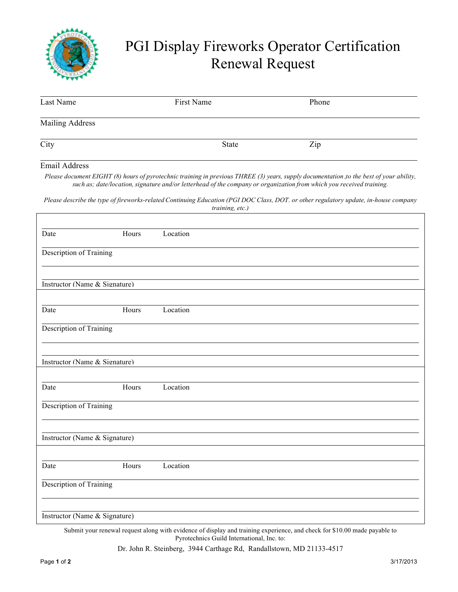

## PGI Display Fireworks Operator Certification Renewal Request

| Last Name                 | First Name | Phone |  |
|---------------------------|------------|-------|--|
| <b>Mailing Address</b>    |            |       |  |
| City                      | State      | Zip   |  |
| <b>THE STATE OF STATE</b> |            |       |  |

## Email Address

*Please document EIGHT (8) hours of pyrotechnic training in previous THREE (3) years, supply documentation ,to the best of your ability, such as; date/location, signature and/or letterhead of the company or organization from which you received training.*

Please describe the type of fireworks-related Continuing Education (PGI DOC Class, DOT. or other regulatory update, in-house company *training, etc.)*

| Date                          | Hours | Location |  |
|-------------------------------|-------|----------|--|
| Description of Training       |       |          |  |
| Instructor (Name & Signature) |       |          |  |
|                               |       |          |  |
| Date                          | Hours | Location |  |
| Description of Training       |       |          |  |
|                               |       |          |  |
| Instructor (Name & Signature) |       |          |  |
|                               |       |          |  |
| Date                          | Hours | Location |  |
| Description of Training       |       |          |  |
| Instructor (Name & Signature) |       |          |  |
|                               |       |          |  |
| Date                          | Hours | Location |  |
| Description of Training       |       |          |  |
|                               |       |          |  |
| Instructor (Name & Signature) |       |          |  |

Submit your renewal request along with evidence of display and training experience, and check for \$10.00 made payable to Pyrotechnics Guild International, Inc. to:

Dr. John R. Steinberg, 3944 Carthage Rd, Randallstown, MD 21133-4517